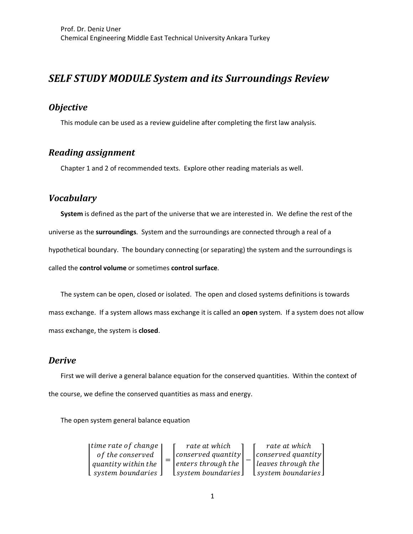# *SELF STUDY MODULE System and its Surroundings Review*

## *Objective*

This module can be used as a review guideline after completing the first law analysis.

# *Reading assignment*

Chapter 1 and 2 of recommended texts. Explore other reading materials as well.

### *Vocabulary*

**System** is defined as the part of the universe that we are interested in. We define the rest of the universe as the **surroundings**. System and the surroundings are connected through a real of a hypothetical boundary. The boundary connecting (or separating) the system and the surroundings is called the **control volume** or sometimes **control surface**.

The system can be open, closed or isolated. The open and closed systems definitions is towards mass exchange. If a system allows mass exchange it is called an **open** system. If a system does not allow mass exchange, the system is **closed**.

#### *Derive*

First we will derive a general balance equation for the conserved quantities. Within the context of the course, we define the conserved quantities as mass and energy.

The open system general balance equation

| [time rate of change]                       |  | rate at which           |  | rate at which                      |
|---------------------------------------------|--|-------------------------|--|------------------------------------|
| of the conserved                            |  | conserved quantity      |  | conserved quantity                 |
| quantity within the                         |  | $ enters\ through\ the$ |  | $\vert$ leaves through the $\vert$ |
| $\mathsf{L}$ system boundaries $\mathsf{L}$ |  | $lsystem$ boundaries    |  | $lsystem$ boundaries               |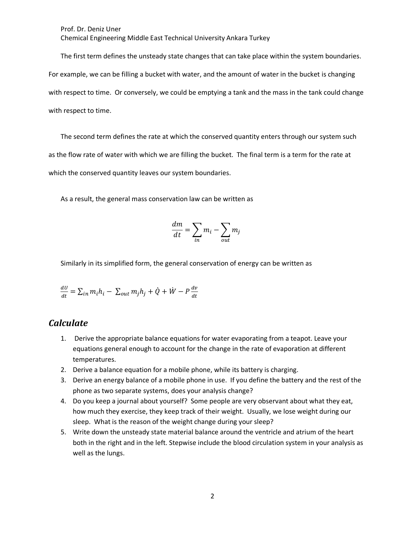Prof. Dr. Deniz Uner Chemical Engineering Middle East Technical University Ankara Turkey

The first term defines the unsteady state changes that can take place within the system boundaries. For example, we can be filling a bucket with water, and the amount of water in the bucket is changing with respect to time. Or conversely, we could be emptying a tank and the mass in the tank could change with respect to time.

The second term defines the rate at which the conserved quantity enters through our system such as the flow rate of water with which we are filling the bucket. The final term is a term for the rate at which the conserved quantity leaves our system boundaries.

As a result, the general mass conservation law can be written as

$$
\frac{dm}{dt} = \sum_{in} m_i - \sum_{out} m_j
$$

Similarly in its simplified form, the general conservation of energy can be written as

$$
\frac{dU}{dt} = \sum_{in} m_i h_i - \sum_{out} m_j h_j + \dot{Q} + \dot{W} - P \frac{dv}{dt}
$$

#### *Calculate*

- 1. Derive the appropriate balance equations for water evaporating from a teapot. Leave your equations general enough to account for the change in the rate of evaporation at different temperatures.
- 2. Derive a balance equation for a mobile phone, while its battery is charging.
- 3. Derive an energy balance of a mobile phone in use. If you define the battery and the rest of the phone as two separate systems, does your analysis change?
- 4. Do you keep a journal about yourself? Some people are very observant about what they eat, how much they exercise, they keep track of their weight. Usually, we lose weight during our sleep. What is the reason of the weight change during your sleep?
- 5. Write down the unsteady state material balance around the ventricle and atrium of the heart both in the right and in the left. Stepwise include the blood circulation system in your analysis as well as the lungs.